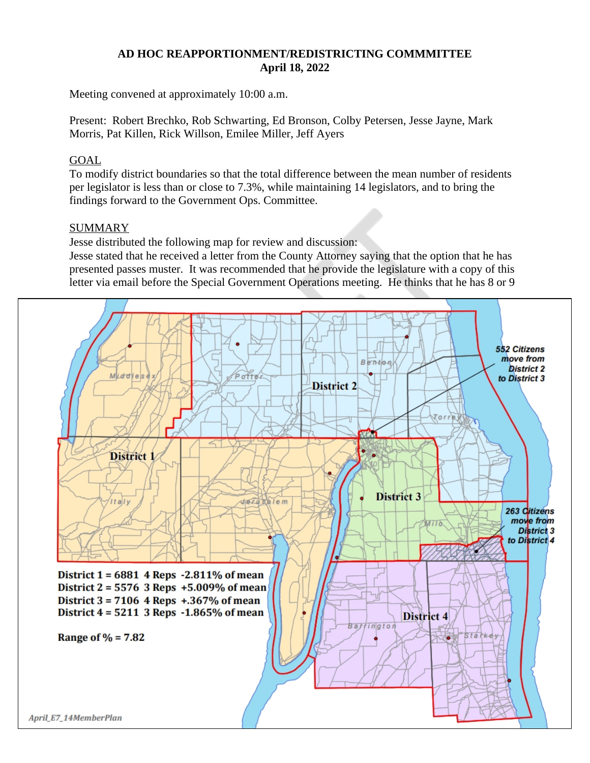### **AD HOC REAPPORTIONMENT/REDISTRICTING COMMMITTEE April 18, 2022**

Meeting convened at approximately 10:00 a.m.

Present: Robert Brechko, Rob Schwarting, Ed Bronson, Colby Petersen, Jesse Jayne, Mark Morris, Pat Killen, Rick Willson, Emilee Miller, Jeff Ayers

## GOAL

To modify district boundaries so that the total difference between the mean number of residents per legislator is less than or close to 7.3%, while maintaining 14 legislators, and to bring the findings forward to the Government Ops. Committee.

# **SUMMARY**

Jesse distributed the following map for review and discussion:

Jesse stated that he received a letter from the County Attorney saying that the option that he has presented passes muster. It was recommended that he provide the legislature with a copy of this letter via email before the Special Government Operations meeting. He thinks that he has 8 or 9